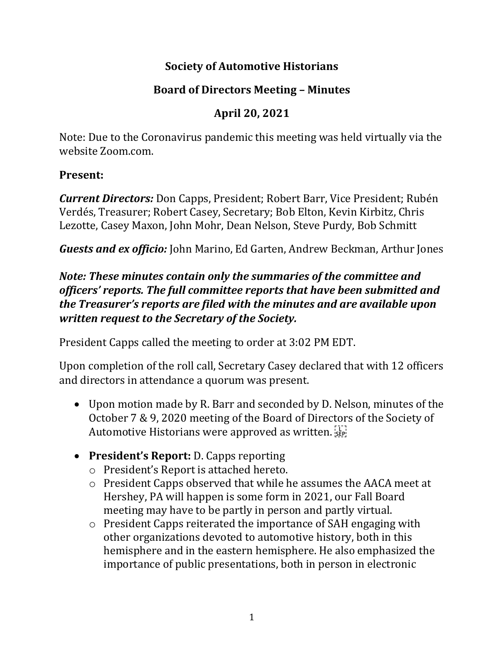# **Society of Automotive Historians**

# **Board of Directors Meeting – Minutes**

# **April 20, 2021**

Note: Due to the Coronavirus pandemic this meeting was held virtually via the website Zoom.com.

#### **Present:**

*Current Directors:* Don Capps, President; Robert Barr, Vice President; Rubén Verdés, Treasurer; Robert Casey, Secretary; Bob Elton, Kevin Kirbitz, Chris Lezotte, Casey Maxon, John Mohr, Dean Nelson, Steve Purdy, Bob Schmitt

*Guests and ex officio:* John Marino, Ed Garten, Andrew Beckman, Arthur Jones

### *Note: These minutes contain only the summaries of the committee and officers' reports. The full committee reports that have been submitted and the Treasurer's reports are filed with the minutes and are available upon written request to the Secretary of the Society.*

President Capps called the meeting to order at 3:02 PM EDT.

Upon completion of the roll call, Secretary Casey declared that with 12 officers and directors in attendance a quorum was present.

- Upon motion made by R. Barr and seconded by D. Nelson, minutes of the October 7 & 9, 2020 meeting of the Board of Directors of the Society of Automotive Historians were approved as written.
- **President's Report:** D. Capps reporting
	- o President's Report is attached hereto.
	- o President Capps observed that while he assumes the AACA meet at Hershey, PA will happen is some form in 2021, our Fall Board meeting may have to be partly in person and partly virtual.
	- o President Capps reiterated the importance of SAH engaging with other organizations devoted to automotive history, both in this hemisphere and in the eastern hemisphere. He also emphasized the importance of public presentations, both in person in electronic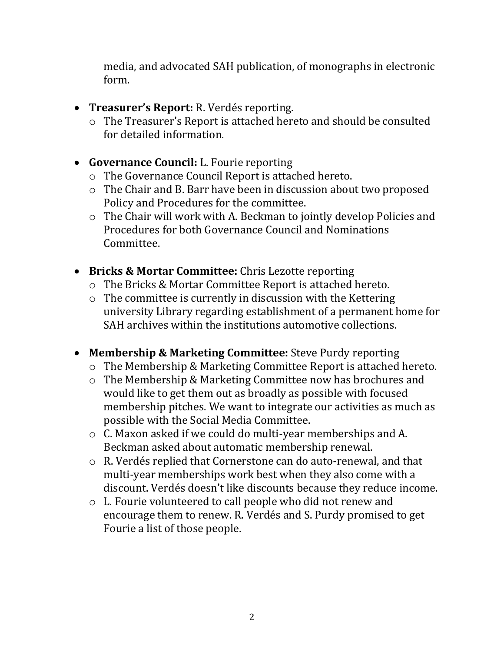media, and advocated SAH publication, of monographs in electronic form.

- **Treasurer's Report:** R. Verdés reporting.
	- o The Treasurer's Report is attached hereto and should be consulted for detailed information.
- **Governance Council:** L. Fourie reporting
	- o The Governance Council Report is attached hereto.
	- o The Chair and B. Barr have been in discussion about two proposed Policy and Procedures for the committee.
	- o The Chair will work with A. Beckman to jointly develop Policies and Procedures for both Governance Council and Nominations Committee.
- **Bricks & Mortar Committee:** Chris Lezotte reporting
	- o The Bricks & Mortar Committee Report is attached hereto.
	- o The committee is currently in discussion with the Kettering university Library regarding establishment of a permanent home for SAH archives within the institutions automotive collections.
- **Membership & Marketing Committee:** Steve Purdy reporting
	- o The Membership & Marketing Committee Report is attached hereto.
	- o The Membership & Marketing Committee now has brochures and would like to get them out as broadly as possible with focused membership pitches. We want to integrate our activities as much as possible with the Social Media Committee.
	- o C. Maxon asked if we could do multi-year memberships and A. Beckman asked about automatic membership renewal.
	- o R. Verdés replied that Cornerstone can do auto-renewal, and that multi-year memberships work best when they also come with a discount. Verdés doesn't like discounts because they reduce income.
	- o L. Fourie volunteered to call people who did not renew and encourage them to renew. R. Verdés and S. Purdy promised to get Fourie a list of those people.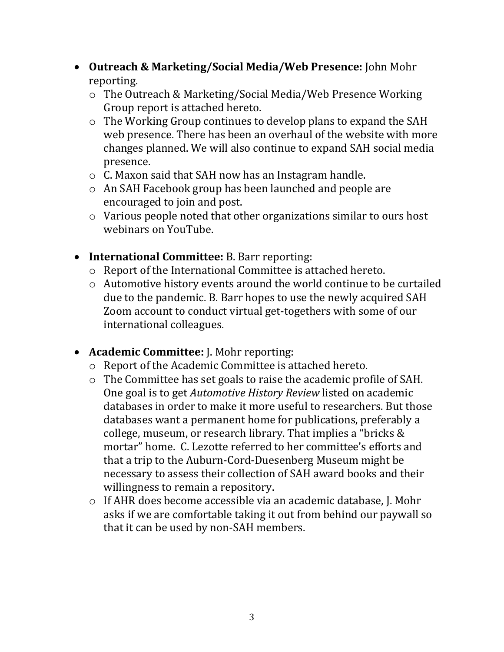- **Outreach & Marketing/Social Media/Web Presence:** John Mohr reporting.
	- o The Outreach & Marketing/Social Media/Web Presence Working Group report is attached hereto.
	- o The Working Group continues to develop plans to expand the SAH web presence. There has been an overhaul of the website with more changes planned. We will also continue to expand SAH social media presence.
	- o C. Maxon said that SAH now has an Instagram handle.
	- o An SAH Facebook group has been launched and people are encouraged to join and post.
	- o Various people noted that other organizations similar to ours host webinars on YouTube.
- **International Committee:** B. Barr reporting:
	- o Report of the International Committee is attached hereto.
	- o Automotive history events around the world continue to be curtailed due to the pandemic. B. Barr hopes to use the newly acquired SAH Zoom account to conduct virtual get-togethers with some of our international colleagues.
- **Academic Committee:** J. Mohr reporting:
	- o Report of the Academic Committee is attached hereto.
	- o The Committee has set goals to raise the academic profile of SAH. One goal is to get *Automotive History Review* listed on academic databases in order to make it more useful to researchers. But those databases want a permanent home for publications, preferably a college, museum, or research library. That implies a "bricks & mortar" home. C. Lezotte referred to her committee's efforts and that a trip to the Auburn-Cord-Duesenberg Museum might be necessary to assess their collection of SAH award books and their willingness to remain a repository.
	- o If AHR does become accessible via an academic database, J. Mohr asks if we are comfortable taking it out from behind our paywall so that it can be used by non-SAH members.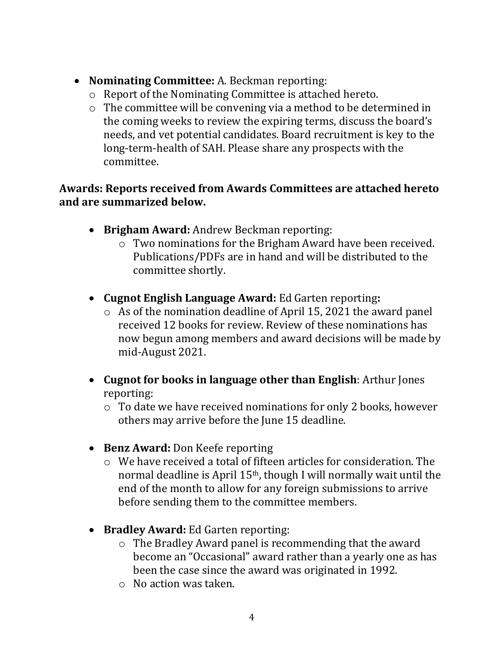- **Nominating Committee:** A. Beckman reporting:
	- o Report of the Nominating Committee is attached hereto.
	- o The committee will be convening via a method to be determined in the coming weeks to review the expiring terms, discuss the board's needs, and vet potential candidates. Board recruitment is key to the long-term-health of SAH. Please share any prospects with the committee.

### **Awards: Reports received from Awards Committees are attached hereto and are summarized below.**

- **Brigham Award:** Andrew Beckman reporting:
	- o Two nominations for the Brigham Award have been received. Publications/PDFs are in hand and will be distributed to the committee shortly.
- **Cugnot English Language Award:** Ed Garten reporting**:**
	- o As of the nomination deadline of April 15, 2021 the award panel received 12 books for review. Review of these nominations has now begun among members and award decisions will be made by mid-August 2021.
- **Cugnot for books in language other than English**: Arthur Jones reporting:
	- o To date we have received nominations for only 2 books, however others may arrive before the June 15 deadline.
- **Benz Award:** Don Keefe reporting
	- o We have received a total of fifteen articles for consideration. The normal deadline is April 15th, though I will normally wait until the end of the month to allow for any foreign submissions to arrive before sending them to the committee members.
- **Bradley Award:** Ed Garten reporting:
	- o The Bradley Award panel is recommending that the award become an "Occasional" award rather than a yearly one as has been the case since the award was originated in 1992.
	- o No action was taken.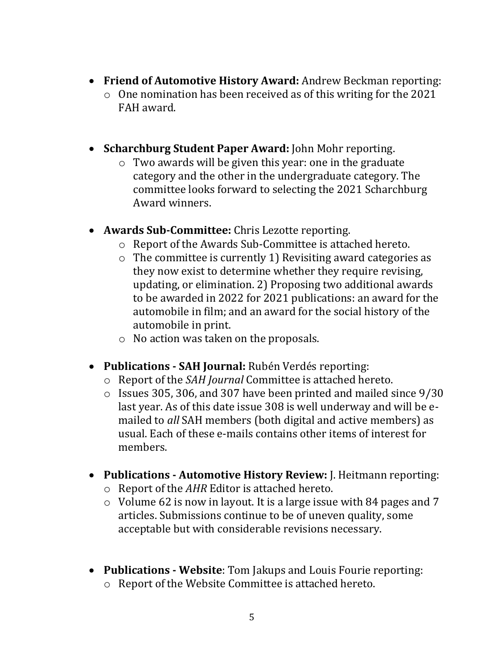- **Friend of Automotive History Award:** Andrew Beckman reporting: o One nomination has been received as of this writing for the 2021 FAH award.
- **Scharchburg Student Paper Award:** John Mohr reporting.
	- o Two awards will be given this year: one in the graduate category and the other in the undergraduate category. The committee looks forward to selecting the 2021 Scharchburg Award winners.
- **Awards Sub-Committee:** Chris Lezotte reporting.
	- o Report of the Awards Sub-Committee is attached hereto.
	- o The committee is currently 1) Revisiting award categories as they now exist to determine whether they require revising, updating, or elimination. 2) Proposing two additional awards to be awarded in 2022 for 2021 publications: an award for the automobile in film; and an award for the social history of the automobile in print.
	- o No action was taken on the proposals.
- **Publications - SAH Journal:** Rubén Verdés reporting:
	- o Report of the *SAH Journal* Committee is attached hereto.
	- o Issues 305, 306, and 307 have been printed and mailed since 9/30 last year. As of this date issue 308 is well underway and will be emailed to *all* SAH members (both digital and active members) as usual. Each of these e-mails contains other items of interest for members.
- **Publications - Automotive History Review:** J. Heitmann reporting:
	- o Report of the *AHR* Editor is attached hereto.
	- $\circ$  Volume 62 is now in layout. It is a large issue with 84 pages and 7 articles. Submissions continue to be of uneven quality, some acceptable but with considerable revisions necessary.
- **Publications - Website**: Tom Jakups and Louis Fourie reporting: o Report of the Website Committee is attached hereto.